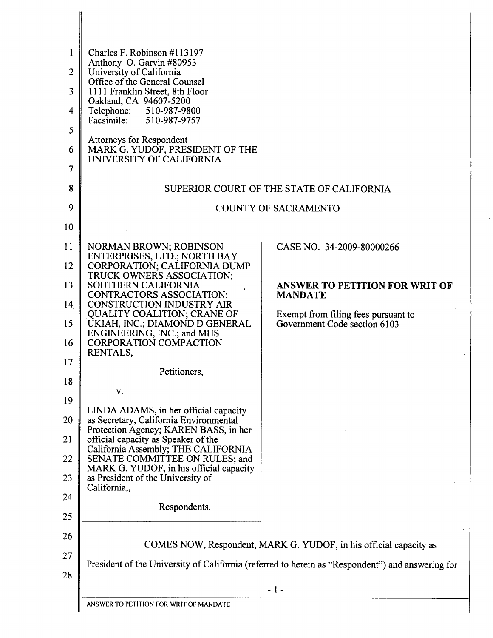| $\mathbf{1}$   | Charles F. Robinson #113197                                                                                              |                                                                                                  |  |  |  |  |  |
|----------------|--------------------------------------------------------------------------------------------------------------------------|--------------------------------------------------------------------------------------------------|--|--|--|--|--|
| $\overline{2}$ | Anthony O. Garvin #80953<br>University of California                                                                     |                                                                                                  |  |  |  |  |  |
| $\overline{3}$ | Office of the General Counsel<br>1111 Franklin Street, 8th Floor                                                         |                                                                                                  |  |  |  |  |  |
| 4              | Oakland, CA 94607-5200<br>Telephone: 510-987-9800                                                                        |                                                                                                  |  |  |  |  |  |
|                | Facsimile:<br>510-987-9757                                                                                               |                                                                                                  |  |  |  |  |  |
| 5<br>6         | <b>Attorneys for Respondent</b><br>MARK G. YUDOF, PRESIDENT OF THE<br>UNIVERSITY OF CALIFORNIA                           |                                                                                                  |  |  |  |  |  |
| 7              |                                                                                                                          |                                                                                                  |  |  |  |  |  |
| 8              |                                                                                                                          | SUPERIOR COURT OF THE STATE OF CALIFORNIA                                                        |  |  |  |  |  |
| 9              | <b>COUNTY OF SACRAMENTO</b>                                                                                              |                                                                                                  |  |  |  |  |  |
| 10             |                                                                                                                          |                                                                                                  |  |  |  |  |  |
| 11             | NORMAN BROWN; ROBINSON                                                                                                   | CASE NO. 34-2009-80000266                                                                        |  |  |  |  |  |
| 12             | ENTERPRISES, LTD.; NORTH BAY<br>CORPORATION; CALIFORNIA DUMP                                                             |                                                                                                  |  |  |  |  |  |
| 13             | TRUCK OWNERS ASSOCIATION;<br>SOUTHERN CALIFORNIA                                                                         | <b>ANSWER TO PETITION FOR WRIT OF</b><br><b>MANDATE</b>                                          |  |  |  |  |  |
| 14             | CONTRACTORS ASSOCIATION;<br><b>CONSTRUCTION INDUSTRY AIR</b>                                                             |                                                                                                  |  |  |  |  |  |
| 15             | <b>QUALITY COALITION; CRANE OF</b><br>UKIAH, INC.; DIAMOND D GENERAL<br>ENGINEERING, INC.; and MHS                       | Exempt from filing fees pursuant to<br>Government Code section 6103                              |  |  |  |  |  |
| 16             | <b>CORPORATION COMPACTION</b><br>RENTALS,                                                                                |                                                                                                  |  |  |  |  |  |
| 17             | Petitioners,                                                                                                             |                                                                                                  |  |  |  |  |  |
| 18             |                                                                                                                          |                                                                                                  |  |  |  |  |  |
| 19             | v.                                                                                                                       |                                                                                                  |  |  |  |  |  |
| 20             | LINDA ADAMS, in her official capacity<br>as Secretary, California Environmental<br>Protection Agency; KAREN BASS, in her |                                                                                                  |  |  |  |  |  |
| 21             | official capacity as Speaker of the                                                                                      |                                                                                                  |  |  |  |  |  |
| 22             | California Assembly; THE CALIFORNIA<br>SENATE COMMITTEE ON RULES; and<br>MARK G. YUDOF, in his official capacity         |                                                                                                  |  |  |  |  |  |
| 23             | as President of the University of<br>California,,                                                                        |                                                                                                  |  |  |  |  |  |
| 24             | Respondents.                                                                                                             |                                                                                                  |  |  |  |  |  |
| 25             |                                                                                                                          |                                                                                                  |  |  |  |  |  |
| 26             |                                                                                                                          | COMES NOW, Respondent, MARK G. YUDOF, in his official capacity as                                |  |  |  |  |  |
| 27             |                                                                                                                          | President of the University of California (referred to herein as "Respondent") and answering for |  |  |  |  |  |
| 28             | $-1-$                                                                                                                    |                                                                                                  |  |  |  |  |  |
|                | ANSWER TO PETITION FOR WRIT OF MANDATE                                                                                   |                                                                                                  |  |  |  |  |  |

 $\hat{\mathcal{A}}$ 

 $\label{eq:2} \frac{1}{\sqrt{2}}\sum_{i=1}^n \frac{1}{\sqrt{2}}\sum_{j=1}^n \frac{1}{j!}\sum_{j=1}^n \frac{1}{j!}\sum_{j=1}^n \frac{1}{j!}\sum_{j=1}^n \frac{1}{j!}\sum_{j=1}^n \frac{1}{j!}\sum_{j=1}^n \frac{1}{j!}\sum_{j=1}^n \frac{1}{j!}\sum_{j=1}^n \frac{1}{j!}\sum_{j=1}^n \frac{1}{j!}\sum_{j=1}^n \frac{1}{j!}\sum_{j=1}^n \frac{1}{j!}\sum_{j=1}^$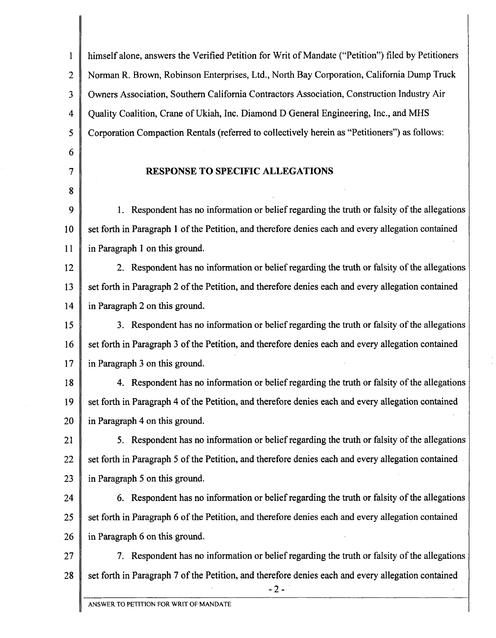himself alone, answers the Verified Petition for Writ of Mandate ("Petition") filed by Petitioners  $\mathbf{1}$  $\overline{2}$ Norman R. Brown, Robinson Enterprises, Ltd., North Bay Corporation, California Dump Truck 3 Owners Association, Southern California Contractors Association, Construction Industry Air 4 Quality Coalition, Crane of Ukiah, Inc. Diamond D General Engineering, Inc., and MHS Corporation Compaction Rentals (referred to collectively herein **as** "Petitioners") as follows: 5 6  $\overline{7}$ **RESPONSE TO SPECIFIC ALLEGATIONS**  8 1. Respondent has no information or belief regarding the truth or falsity of the allegations 9 set forth in Paragraph 1 of the Petition, and therefore denies each and every allegation contained 10 in Paragraph 1 on this ground. 11 12 **2.** Respondent has no information or belief regarding the truth or falsity of the allegations set forth in Paragraph 2 of the Petition, and therefore denies each and every allegation contained 13 14 in Paragraph 2 on this ground. 3. Respondent has no information or belief regarding the truth or falsity of the allegations 15 set forth in Paragraph 3 of the Petition, and therefore denies each and every allegation contained 16  $17$ in Paragraph 3 on this ground. 4. Respondent has no information or belief regarding the truth or falsity of the allegations 18 19 set forth in Paragraph 4 of the Petition, and therefore denies each and every allegation contained 20 in Paragraph 4 on this ground. 5. Respondent has no information or belief regarding the truth or falsity of the allegations 21 22 set forth in Paragraph 5 of the Petition, and therefore denies each and every allegation contained 23 in Paragraph 5 on this ground. 24 *6.* Respondent has no information or belief regarding the truth or falsity of the allegations 25 set forth in Paragraph 6 of the Petition, and therefore denies each and every allegation contained 26 in Paragraph 6 on this ground. 7. Respondent has no information or belief regarding the truth or falsity of the allegations 27 28 set forth in Paragraph 7 of the Petition, and therefore denies each and every allegation contained -2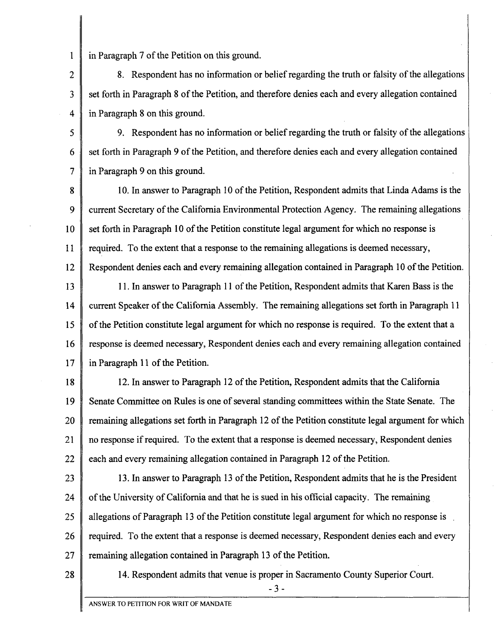$\mathbf{1}$ in Paragraph 7 of the Petition on this ground.

8. Respondent has no information or belief regarding the truth or falsity of the allegations  $\overline{2}$ set forth in Paragraph 8 of the Petition, and therefore denies each and every allegation contained  $\mathbf{3}$ in Paragraph 8 on this ground.  $\Delta$ 

9. Respondent has no information or belief regarding the truth or falsity of the allegations  $\varsigma$ set forth in Paragraph 9 of the Petition, and therefore denies each and every allegation contained 6  $\overline{7}$ in Paragraph 9 on this ground.

10. In answer to Paragraph 10 of the Petition, Respondent admits that Linda Adams is the 8  $\mathbf Q$ current Secretary of the California Environmental Protection Agency. The remaining allegations  $10<sup>1</sup>$ set forth in Paragraph 10 of the Petition constitute legal argument for which no response is  $11$ required. To the extent that a response to the remaining allegations is deemed necessary, 12 Respondent denies each and every remaining allegation contained in Paragraph 10 of the Petition.

13 11. In answer to Paragraph 11 of the Petition, Respondent admits that Karen Bass is the 14 current Speaker of the California Assembly. The remaining allegations set forth in Paragraph 11 15 of the Petition constitute legal argument for which no response is required. To the extent that a response is deemed necessary, Respondent denies each and every remaining allegation contained 16 17 in Paragraph 11 of the Petition.

12. In answer to Paragraph 12 of the Petition, Respondent admits that the California 18 19 Senate Committee on Rules is one of several standing committees within the State Senate. The 20 remaining allegations set forth in Paragraph 12 of the Petition constitute legal argument for which 21 no response if required. To the extent that a response is deemed necessary, Respondent denies 22 each and every remaining allegation contained in Paragraph 12 of the Petition.

23 13. In answer to Paragraph 13 of the Petition, Respondent admits that he is the President 24 of the University of California and that he is sued in his official capacity. The remaining 25 allegations of Paragraph 13 of the Petition constitute legal argument for which no response is , 26 required. To the extent that a response is deemed necessary, Respondent denies each and every  $27$ remaining allegation contained in Paragraph 13 of the Petition.

28

14. Respondent admits that venue is proper in Sacramento County Superior Court.

 $-3-$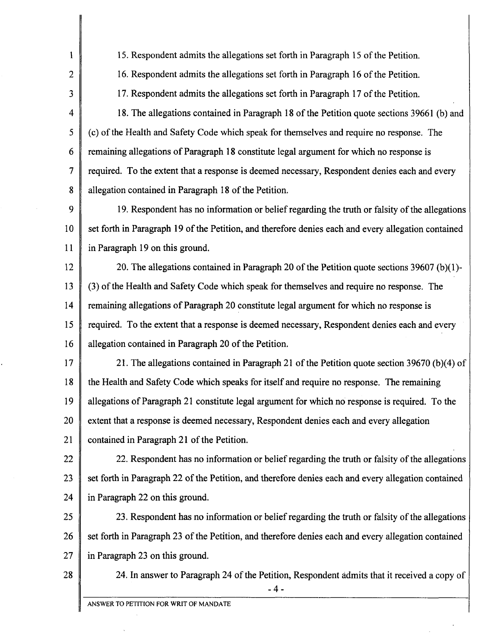$\mathbf{1}$ 15. Respondent admits the allegations set forth in Paragraph 15 of the Petition.  $\overline{2}$ 16. Respondent admits the allegations set forth in Paragraph 16 of the Petition. 3 17. Respondent admits the allegations set forth in Paragraph 17 of the Petition. 4 18. The allegations contained in Paragraph 18 of the Petition quote sections 39661 (b) and 5 (c) of the Health and Safety Code which speak for themselves and require no response. The 6 remaining allegations of Paragraph 18 constitute legal argument for which no response is  $\overline{7}$ required. To the extent that a response is deemed necessary, Respondent denies each and every 8 allegation contained in Paragraph 18 of the Petition. 9 19. Respondent has no information or belief regarding the truth or falsity of the allegations 10 set forth in Paragraph 19 of the Petition, and therefore denies each and every allegation contained  $11$ in Paragraph 19 on this ground. 12 20. The allegations contained in Paragraph 20 of the Petition quote sections 39607 (b)(l)- 13 **(3)** of the Health and Safety Code which speak for themselves and require no response. The 14 remaining allegations of Paragraph 20 constitute legal argument for which no response is 15 required. To the extent that a response is deemed necessary, Respondent denies each and every 16 allegation contained in Paragraph 20 of the Petition. 17 21. The allegations contained in Paragraph 21 of the Petition quote section 39670 (b)(4) of 18 the Health and Safety Code which speaks for itself and require no response. The remaining 19 allegations of Paragraph 21 constitute legal argument for which no response is required. To the 20 extent that a response is deemed necessary, Respondent denies each and every allegation 21 contained in Paragraph 21 of the Petition. 22 22. Respondent has no information or belief regarding the truth or falsity of the allegations 23 set forth in Paragraph 22 of the Petition, and therefore denies each and every allegation contained 24 in Paragraph 22 on this ground. 25 23. Respondent has no information or belief regarding the truth or falsity of the allegations 26 set forth in Paragraph 23 of the Petition, and therefore denies each and every allegation contained 27 in Paragraph 23 on this ground. 28 24. In answer to Paragraph 24 of the Petition, Respondent admits that it received a copy of **-4-** 

I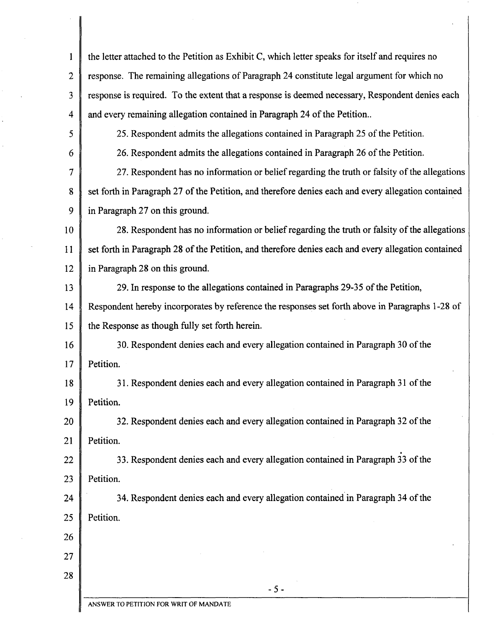| 1              | the letter attached to the Petition as Exhibit C, which letter speaks for itself and requires no    |  |
|----------------|-----------------------------------------------------------------------------------------------------|--|
| $\overline{2}$ | response. The remaining allegations of Paragraph 24 constitute legal argument for which no          |  |
| 3              | response is required. To the extent that a response is deemed necessary, Respondent denies each     |  |
| 4              | and every remaining allegation contained in Paragraph 24 of the Petition                            |  |
| 5              | 25. Respondent admits the allegations contained in Paragraph 25 of the Petition.                    |  |
| 6              | 26. Respondent admits the allegations contained in Paragraph 26 of the Petition.                    |  |
| 7              | 27. Respondent has no information or belief regarding the truth or falsity of the allegations       |  |
| 8              | set forth in Paragraph 27 of the Petition, and therefore denies each and every allegation contained |  |
| 9              | in Paragraph 27 on this ground.                                                                     |  |
| 10             | 28. Respondent has no information or belief regarding the truth or falsity of the allegations       |  |
| 11             | set forth in Paragraph 28 of the Petition, and therefore denies each and every allegation contained |  |
| 12             | in Paragraph 28 on this ground.                                                                     |  |
| 13             | 29. In response to the allegations contained in Paragraphs 29-35 of the Petition,                   |  |
| 14             | Respondent hereby incorporates by reference the responses set forth above in Paragraphs 1-28 of     |  |
| 15             | the Response as though fully set forth herein.                                                      |  |
| 16             | 30. Respondent denies each and every allegation contained in Paragraph 30 of the                    |  |
| 17             | Petition.                                                                                           |  |
| 18             | 31. Respondent denies each and every allegation contained in Paragraph 31 of the                    |  |
| 19             | Petition.                                                                                           |  |
| 20             | 32. Respondent denies each and every allegation contained in Paragraph 32 of the                    |  |
| 21             | Petition.                                                                                           |  |
| 22             | 33. Respondent denies each and every allegation contained in Paragraph 33 of the                    |  |
| 23             | Petition.                                                                                           |  |
| 24             | 34. Respondent denies each and every allegation contained in Paragraph 34 of the                    |  |
| 25             | Petition.                                                                                           |  |
| 26             |                                                                                                     |  |
| 27             |                                                                                                     |  |
| 28             |                                                                                                     |  |
|                | $-5-$<br>ANSWER TO PETITION FOR WRIT OF MANDATE                                                     |  |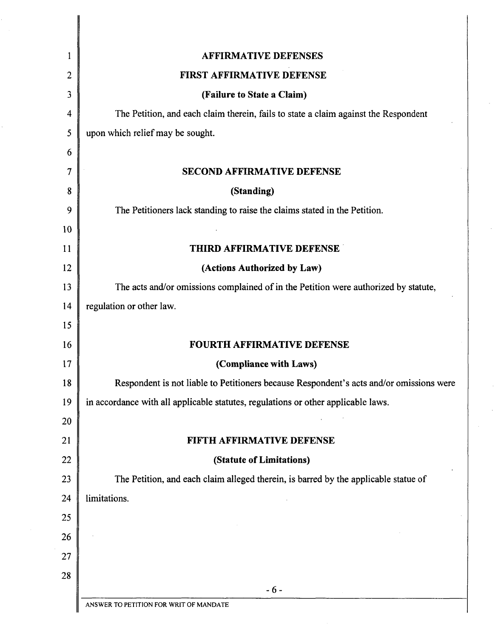| 1                        | <b>AFFIRMATIVE DEFENSES</b>                                                             |
|--------------------------|-----------------------------------------------------------------------------------------|
| 2                        | FIRST AFFIRMATIVE DEFENSE                                                               |
| 3                        | (Failure to State a Claim)                                                              |
| $\overline{\mathcal{A}}$ | The Petition, and each claim therein, fails to state a claim against the Respondent     |
| 5                        | upon which relief may be sought.                                                        |
| 6                        |                                                                                         |
| 7                        | <b>SECOND AFFIRMATIVE DEFENSE</b>                                                       |
| 8                        | (Standing)                                                                              |
| 9                        | The Petitioners lack standing to raise the claims stated in the Petition.               |
| 10                       |                                                                                         |
| 11                       | THIRD AFFIRMATIVE DEFENSE                                                               |
| 12                       | (Actions Authorized by Law)                                                             |
| 13                       | The acts and/or omissions complained of in the Petition were authorized by statute,     |
| 14                       | regulation or other law.                                                                |
| 15                       |                                                                                         |
| 16                       | <b>FOURTH AFFIRMATIVE DEFENSE</b>                                                       |
| 17                       | (Compliance with Laws)                                                                  |
| 18                       | Respondent is not liable to Petitioners because Respondent's acts and/or omissions were |
| 19                       | in accordance with all applicable statutes, regulations or other applicable laws.       |
| 20                       |                                                                                         |
| 21                       | FIFTH AFFIRMATIVE DEFENSE                                                               |
| 22                       | (Statute of Limitations)                                                                |
| 23                       | The Petition, and each claim alleged therein, is barred by the applicable statue of     |
| 24                       | limitations.                                                                            |
| 25                       |                                                                                         |
| 26                       |                                                                                         |
| 27                       |                                                                                         |
| 28                       |                                                                                         |
|                          | $-6-$<br>ANSWER TO PETITION FOR WRIT OF MANDATE                                         |
|                          |                                                                                         |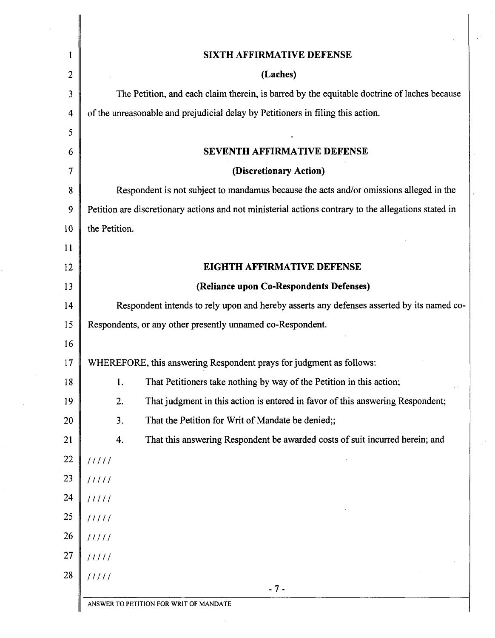| 1              | <b>SIXTH AFFIRMATIVE DEFENSE</b>                                                                     |
|----------------|------------------------------------------------------------------------------------------------------|
| $\overline{c}$ | (Laches)                                                                                             |
| 3              | The Petition, and each claim therein, is barred by the equitable doctrine of laches because          |
| 4              | of the unreasonable and prejudicial delay by Petitioners in filing this action.                      |
| 5<br>6         | SEVENTH AFFIRMATIVE DEFENSE                                                                          |
| $\overline{7}$ | (Discretionary Action)                                                                               |
| 8              | Respondent is not subject to mandamus because the acts and/or omissions alleged in the               |
| 9              | Petition are discretionary actions and not ministerial actions contrary to the allegations stated in |
| 10             | the Petition.                                                                                        |
| 11             |                                                                                                      |
| 12             | <b>EIGHTH AFFIRMATIVE DEFENSE</b>                                                                    |
| 13             | (Reliance upon Co-Respondents Defenses)                                                              |
| 14             | Respondent intends to rely upon and hereby asserts any defenses asserted by its named co-            |
| 15             | Respondents, or any other presently unnamed co-Respondent.                                           |
| 16             |                                                                                                      |
| 17             | WHEREFORE, this answering Respondent prays for judgment as follows:                                  |
| 18             | That Petitioners take nothing by way of the Petition in this action;<br>1.                           |
| 19             | 2.<br>That judgment in this action is entered in favor of this answering Respondent;                 |
| 20             | 3.<br>That the Petition for Writ of Mandate be denied;;                                              |
| 21             | That this answering Respondent be awarded costs of suit incurred herein; and<br>4.                   |
| 22             | 11111                                                                                                |
| 23             | 11111                                                                                                |
| 24             | 11111                                                                                                |
| 25             | 11111                                                                                                |
| 26             | 11111                                                                                                |
| 27             | 11111                                                                                                |
| 28             | 11111                                                                                                |

 $\label{eq:2.1} \frac{1}{\sqrt{2\pi}}\int_{\mathbb{R}^3} \frac{d\mu}{\sqrt{2\pi}} \left( \frac{d\mu}{\sqrt{2\pi}} \right)^2 \frac{d\mu}{\sqrt{2\pi}} \frac{d\mu}{\sqrt{2\pi}} \frac{d\mu}{\sqrt{2\pi}} \frac{d\mu}{\sqrt{2\pi}} \frac{d\mu}{\sqrt{2\pi}} \frac{d\mu}{\sqrt{2\pi}} \frac{d\mu}{\sqrt{2\pi}} \frac{d\mu}{\sqrt{2\pi}} \frac{d\mu}{\sqrt{2\pi}} \frac{d\mu}{\sqrt{2\pi}} \frac{d\mu}{\sqrt{2\$ 

 $\hat{\mathcal{L}}$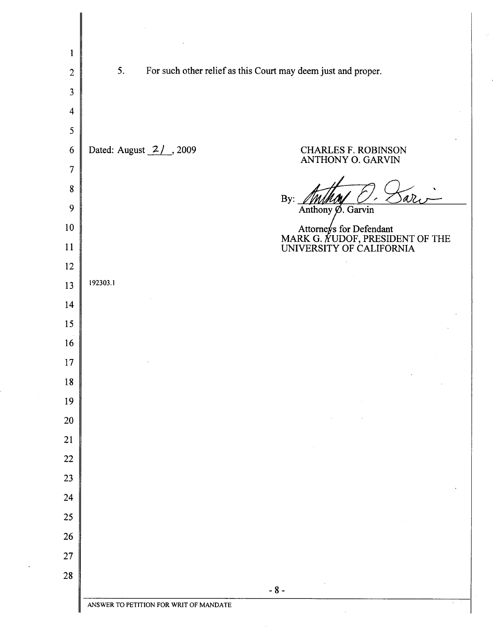| $\mathbf{1}$            |                                        |                                                                                        |
|-------------------------|----------------------------------------|----------------------------------------------------------------------------------------|
| $\overline{2}$          | 5.                                     | For such other relief as this Court may deem just and proper.                          |
| 3                       |                                        |                                                                                        |
| $\overline{\mathbf{4}}$ |                                        |                                                                                        |
| 5                       |                                        |                                                                                        |
| 6                       | Dated: August 2/, 2009                 | <b>CHARLES F. ROBINSON</b><br>ANTHONY O. GARVIN                                        |
| 7                       |                                        |                                                                                        |
| 8                       |                                        | $d\nu$<br>By:                                                                          |
| 9                       |                                        | Anthony Ø. Garvin                                                                      |
| 10<br>11                |                                        | Attorneys for Defendant<br>MARK G. AUDOF, PRESIDENT OF THE<br>UNIVERSITY OF CALIFORNIA |
| 12                      |                                        |                                                                                        |
| 13                      | 192303.1                               |                                                                                        |
| 14                      |                                        |                                                                                        |
| 15                      |                                        |                                                                                        |
| 16                      |                                        |                                                                                        |
| 17                      |                                        |                                                                                        |
| 18                      |                                        |                                                                                        |
| 19                      |                                        |                                                                                        |
| 20                      |                                        |                                                                                        |
| 21                      |                                        |                                                                                        |
| 22                      |                                        |                                                                                        |
| 23                      |                                        |                                                                                        |
| 24                      |                                        |                                                                                        |
| 25                      |                                        |                                                                                        |
| 26                      |                                        |                                                                                        |
| $27\,$                  |                                        |                                                                                        |
| 28                      |                                        |                                                                                        |
|                         |                                        | $-8-$                                                                                  |
|                         | ANSWER TO PETITION FOR WRIT OF MANDATE |                                                                                        |

 $\hat{\boldsymbol{\beta}}$ 

 $\hat{\rho}$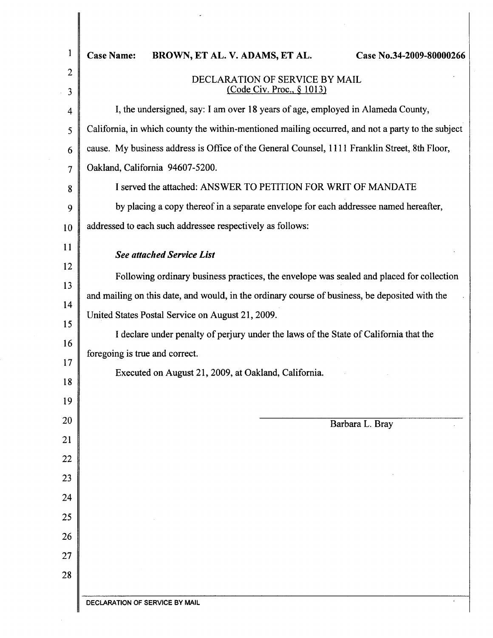| ł                   | <b>Case Name:</b><br><b>BROWN, ET AL. V. ADAMS, ET AL.</b><br>Case No.34-2009-80000266                                  |  |  |  |
|---------------------|-------------------------------------------------------------------------------------------------------------------------|--|--|--|
| $\overline{c}$<br>3 | DECLARATION OF SERVICE BY MAIL<br><u>(Code Civ. Proc., § 1013)</u>                                                      |  |  |  |
| 4                   | I, the undersigned, say: I am over 18 years of age, employed in Alameda County,                                         |  |  |  |
| 5                   | California, in which county the within-mentioned mailing occurred, and not a party to the subject                       |  |  |  |
| 6                   | cause. My business address is Office of the General Counsel, 1111 Franklin Street, 8th Floor,                           |  |  |  |
| 7                   | Oakland, California 94607-5200.                                                                                         |  |  |  |
| 8                   | I served the attached: ANSWER TO PETITION FOR WRIT OF MANDATE                                                           |  |  |  |
| 9                   | by placing a copy thereof in a separate envelope for each addressee named hereafter,                                    |  |  |  |
| 10                  | addressed to each such addressee respectively as follows:                                                               |  |  |  |
| 11                  | <b>See attached Service List</b>                                                                                        |  |  |  |
| 12                  | Following ordinary business practices, the envelope was sealed and placed for collection                                |  |  |  |
| 13                  | and mailing on this date, and would, in the ordinary course of business, be deposited with the                          |  |  |  |
| 14                  | United States Postal Service on August 21, 2009.                                                                        |  |  |  |
| 15                  | I declare under penalty of perjury under the laws of the State of California that the<br>foregoing is true and correct. |  |  |  |
| 16                  |                                                                                                                         |  |  |  |
| 17<br>18            | Executed on August 21, 2009, at Oakland, California.                                                                    |  |  |  |
| 19                  |                                                                                                                         |  |  |  |
| 20                  |                                                                                                                         |  |  |  |
| 21                  | Barbara L. Bray                                                                                                         |  |  |  |
| 22                  |                                                                                                                         |  |  |  |
| 23                  |                                                                                                                         |  |  |  |
| 24                  |                                                                                                                         |  |  |  |
| 25                  |                                                                                                                         |  |  |  |
| 26                  |                                                                                                                         |  |  |  |
| 27                  |                                                                                                                         |  |  |  |
| 28                  |                                                                                                                         |  |  |  |
|                     |                                                                                                                         |  |  |  |

 $\mathcal{L}_{\text{max}}$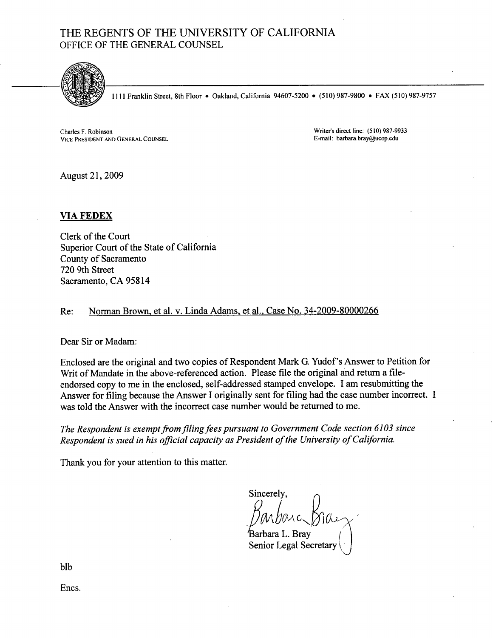## THE REGENTS OF THE UNIVERSITY OF CALIFORNIA OFFICE OF THE GENERAL COUNSEL



**1111 Franklin Street, 8th Floor • Oakland, California 94607-5200 • (510) 987-9800 • FAX (510) 987-9757** 

**Charles F. Robinson VICE PRESIDENT AND GENERAL COUNSEL**  **Writer's direct line: (5 10) 987-9933 E-mail: barbara.bray@ucop.edu** 

August 21, 2009

## **VIA FEDEX**

Clerk of the Court Superior Court of the State of California County of Sacramento 720 9th Street Sacramento, CA 958 14

## Re: Norman Brown, et al. v. Linda Adams, et al., Case No. 34-2009-80000266

Dear Sir or Madam:

Enclosed are the original and two copies of Respondent Mark G. Yudof's Answer to Petition for Writ of Mandate in the above-referenced action. Please file the original and return a fileendorsed copy to me in the enclosed, self-addressed stamped envelope. I am resubmitting the Answer for filing because the Answer I originally sent for filing had the case number incorrect. I was told the Answer with the incorrect case number would be returned to me.

*The Respondent is exempt from filing fees pursuant to Government Code section 61 03 since Respondent is sued in his oflcial capacity as President of the University of California.* 

Thank you for your attention to this matter.

Sincerely, Darbouc group

Barbara L. Brav Senior Legal Secretary

blb

Encs.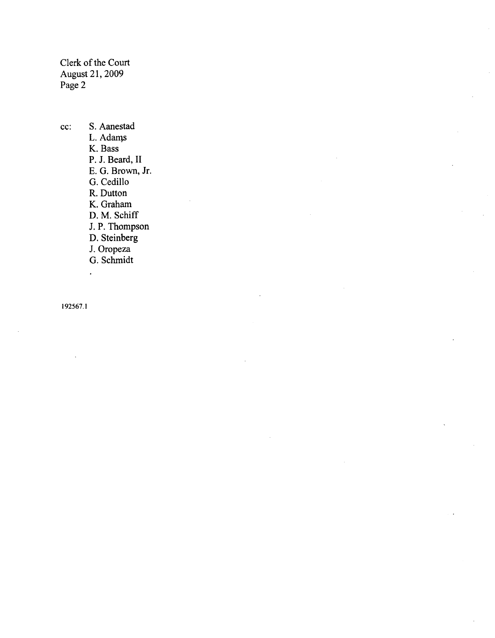Clerk of the Court August 21, 2009 Page 2

cc: S. Aanestad L. Adams K. Bass P. J. Beard, **I1**  E. G. Brown, Jr. G. Cedi110 R. Dutton K. Graham D. M. Schiff J. P. Thompson D. Steinberg J. Oropeza G. Schmidt

192567.1

 $\hat{\mathbf{r}}$